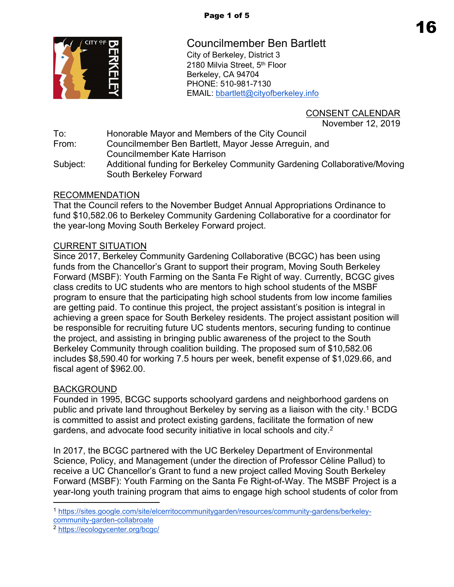

Councilmember Ben Bartlett City of Berkeley, District 3 2180 Milvia Street, 5<sup>th</sup> Floor Berkeley, CA 94704 PHONE: 510-981-7130 EMAIL: [bbartlett@cityofberkeley.info](mailto:bbartlett@cityofberkeley.info)

> CONSENT CALENDAR November 12, 2019

To: Honorable Mayor and Members of the City Council From: Councilmember Ben Bartlett, Mayor Jesse Arreguin, and Councilmember Kate Harrison Subject: Additional funding for Berkeley Community Gardening Collaborative/Moving South Berkeley Forward

## RECOMMENDATION

That the Council refers to the November Budget Annual Appropriations Ordinance to fund \$10,582.06 to Berkeley Community Gardening Collaborative for a coordinator for the year-long Moving South Berkeley Forward project.

## CURRENT SITUATION

Since 2017, Berkeley Community Gardening Collaborative (BCGC) has been using funds from the Chancellor's Grant to support their program, Moving South Berkeley Forward (MSBF): Youth Farming on the Santa Fe Right of way. Currently, BCGC gives class credits to UC students who are mentors to high school students of the MSBF program to ensure that the participating high school students from low income families are getting paid. To continue this project, the project assistant's position is integral in achieving a green space for South Berkeley residents. The project assistant position will be responsible for recruiting future UC students mentors, securing funding to continue the project, and assisting in bringing public awareness of the project to the South Berkeley Community through coalition building. The proposed sum of \$10,582.06 includes \$8,590.40 for working 7.5 hours per week, benefit expense of \$1,029.66, and fiscal agent of \$962.00.

## BACKGROUND

Founded in 1995, BCGC supports schoolyard gardens and neighborhood gardens on public and private land throughout Berkeley by serving as a liaison with the city.<sup>1</sup> BCDG is committed to assist and protect existing gardens, facilitate the formation of new gardens, and advocate food security initiative in local schools and city.<sup>2</sup>

In 2017, the BCGC partnered with the UC Berkeley Department of Environmental Science, Policy, and Management (under the direction of Professor Cèline Pallud) to receive a UC Chancellor's Grant to fund a new project called Moving South Berkeley Forward (MSBF): Youth Farming on the Santa Fe Right-of-Way. The MSBF Project is a year-long youth training program that aims to engage high school students of color from

<sup>1</sup> [https://sites.google.com/site/elcerritocommunitygarden/resources/community-gardens/berkeley](https://sites.google.com/site/elcerritocommunitygarden/resources/community-gardens/berkeley-community-garden-collabroate)[community-garden-collabroate](https://sites.google.com/site/elcerritocommunitygarden/resources/community-gardens/berkeley-community-garden-collabroate)

<sup>2</sup> <https://ecologycenter.org/bcgc/>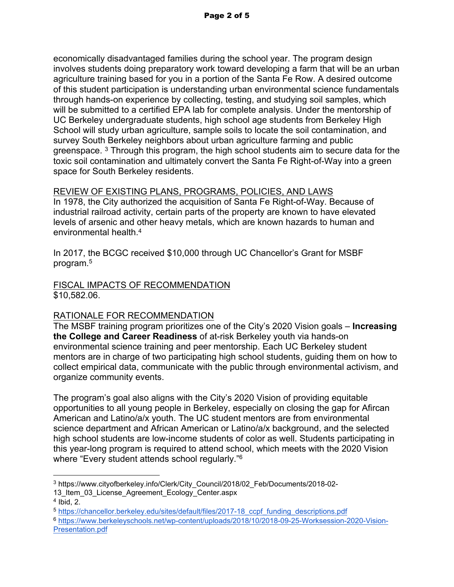economically disadvantaged families during the school year. The program design involves students doing preparatory work toward developing a farm that will be an urban agriculture training based for you in a portion of the Santa Fe Row. A desired outcome of this student participation is understanding urban environmental science fundamentals through hands-on experience by collecting, testing, and studying soil samples, which will be submitted to a certified EPA lab for complete analysis. Under the mentorship of UC Berkeley undergraduate students, high school age students from Berkeley High School will study urban agriculture, sample soils to locate the soil contamination, and survey South Berkeley neighbors about urban agriculture farming and public greenspace. <sup>3</sup> Through this program, the high school students aim to secure data for the toxic soil contamination and ultimately convert the Santa Fe Right-of-Way into a green space for South Berkeley residents.

# REVIEW OF EXISTING PLANS, PROGRAMS, POLICIES, AND LAWS

In 1978, the City authorized the acquisition of Santa Fe Right-of-Way. Because of industrial railroad activity, certain parts of the property are known to have elevated levels of arsenic and other heavy metals, which are known hazards to human and environmental health.<sup>4</sup>

In 2017, the BCGC received \$10,000 through UC Chancellor's Grant for MSBF program.<sup>5</sup>

### FISCAL IMPACTS OF RECOMMENDATION \$10,582.06.

# RATIONALE FOR RECOMMENDATION

The MSBF training program prioritizes one of the City's 2020 Vision goals – **Increasing the College and Career Readiness** of at-risk Berkeley youth via hands-on environmental science training and peer mentorship. Each UC Berkeley student mentors are in charge of two participating high school students, guiding them on how to collect empirical data, communicate with the public through environmental activism, and organize community events.

The program's goal also aligns with the City's 2020 Vision of providing equitable opportunities to all young people in Berkeley, especially on closing the gap for Afircan American and Latino/a/x youth. The UC student mentors are from environmental science department and African American or Latino/a/x background, and the selected high school students are low-income students of color as well. Students participating in this year-long program is required to attend school, which meets with the 2020 Vision where "Every student attends school regularly."<sup>6</sup>

13\_Item\_03\_License\_Agreement\_Ecology\_Center.aspx

<sup>3</sup> https://www.cityofberkeley.info/Clerk/City\_Council/2018/02\_Feb/Documents/2018-02-

 $4$  Ibid, 2.

<sup>5</sup> [https://chancellor.berkeley.edu/sites/default/files/2017-18\\_ccpf\\_funding\\_descriptions.pdf](https://chancellor.berkeley.edu/sites/default/files/2017-18_ccpf_funding_descriptions.pdf)

<sup>6</sup> [https://www.berkeleyschools.net/wp-content/uploads/2018/10/2018-09-25-Worksession-2020-Vision-](https://www.berkeleyschools.net/wp-content/uploads/2018/10/2018-09-25-Worksession-2020-Vision-Presentation.pdf)[Presentation.pdf](https://www.berkeleyschools.net/wp-content/uploads/2018/10/2018-09-25-Worksession-2020-Vision-Presentation.pdf)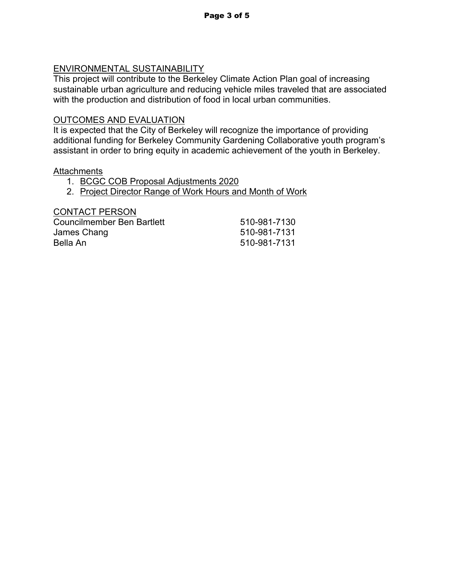# ENVIRONMENTAL SUSTAINABILITY

This project will contribute to the Berkeley Climate Action Plan goal of increasing sustainable urban agriculture and reducing vehicle miles traveled that are associated with the production and distribution of food in local urban communities.

## OUTCOMES AND EVALUATION

It is expected that the City of Berkeley will recognize the importance of providing additional funding for Berkeley Community Gardening Collaborative youth program's assistant in order to bring equity in academic achievement of the youth in Berkeley.

### **Attachments**

- 1. BCGC COB Proposal Adjustments 2020
- 2. Project Director Range of Work Hours and Month of Work

#### CONTACT PERSON

| Councilmember Ben Bartlett | 510-981-7130 |
|----------------------------|--------------|
| James Chang                | 510-981-7131 |
| Bella An                   | 510-981-7131 |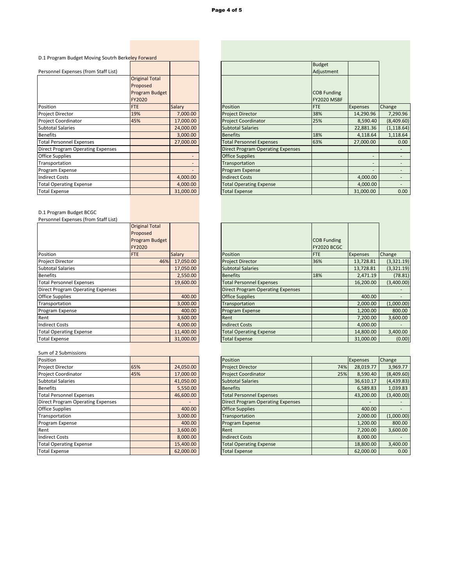| D.1 Program Budget Moving Soutrh Berkeley Forward |  |
|---------------------------------------------------|--|
|---------------------------------------------------|--|

| Personnel Expenses (from Staff List)     |                       |           |
|------------------------------------------|-----------------------|-----------|
|                                          | <b>Original Total</b> |           |
|                                          | Proposed              |           |
|                                          | Program Budget        |           |
|                                          | <b>FY2020</b>         |           |
| Position                                 | <b>FTE</b>            | Salary    |
| Project Director                         | 19%                   | 7,000.00  |
| Project Coordinator                      | 45%                   | 17,000.00 |
| <b>Subtotal Salaries</b>                 |                       | 24,000.00 |
| <b>Benefits</b>                          |                       | 3,000.00  |
| <b>Total Personnel Expenses</b>          |                       | 27,000.00 |
| <b>Direct Program Operating Expenses</b> |                       |           |
| <b>Office Supplies</b>                   |                       |           |
| Transportation                           |                       |           |
| Program Expense                          |                       |           |
| <b>Indirect Costs</b>                    |                       | 4,000.00  |
| <b>Total Operating Expense</b>           |                       | 4,000.00  |
| <b>Total Expense</b>                     |                       | 31,000.00 |

|                       |                                                   |                                          | <b>Budget</b> |                          |                   |
|-----------------------|---------------------------------------------------|------------------------------------------|---------------|--------------------------|-------------------|
|                       |                                                   |                                          | Adjustment    |                          |                   |
| <b>Original Total</b> |                                                   |                                          |               |                          |                   |
| Proposed              |                                                   |                                          |               |                          |                   |
| Program Budget        |                                                   |                                          | COB Funding   |                          |                   |
| FY2020                |                                                   |                                          | FY2020 MSBF   |                          |                   |
| <b>FTE</b>            | <b>Salary</b>                                     | Position                                 | <b>FTE</b>    | <b>Expenses</b>          | Change            |
| 19%                   | 7,000.00                                          | <b>Project Director</b>                  | 38%           | 14,290.96                | 7,290.96          |
| 45%                   | 17,000.00                                         | <b>Project Coordinator</b>               | 25%           | 8,590.40                 | (8,409.60)        |
|                       | 24,000.00                                         | <b>Subtotal Salaries</b>                 |               | 22,881.36                | (1, 118.64)       |
|                       | 3,000.00                                          | <b>Benefits</b>                          | 18%           | 4,118.64                 | 1,118.64          |
|                       | 27,000.00                                         | <b>Total Personnel Expenses</b>          | 63%           | 27,000.00                | 0.00 <sub>1</sub> |
|                       |                                                   | <b>Direct Program Operating Expenses</b> |               |                          |                   |
|                       |                                                   | <b>Office Supplies</b>                   |               |                          |                   |
|                       |                                                   | Transportation                           |               | $\overline{\phantom{a}}$ |                   |
|                       |                                                   | Program Expense                          |               |                          |                   |
|                       | 4,000.00                                          | <b>Indirect Costs</b>                    |               | 4,000.00                 |                   |
|                       | 4,000.00                                          | <b>Total Operating Expense</b>           |               | 4,000.00                 |                   |
|                       | 31,000.00                                         | <b>Total Expense</b>                     |               | 31,000.00                | 0.00              |
|                       | D.1 Program Budget Moving Soutrh Berkeley Forward |                                          |               |                          |                   |

|  | D.1 Program Budget BCGC |
|--|-------------------------|
|--|-------------------------|

Personnel Expenses (from Staff List)

|                                          | <b>Original Total</b> |           |
|------------------------------------------|-----------------------|-----------|
|                                          | Proposed              |           |
|                                          | Program Budget        |           |
|                                          | FY2020                |           |
| Position                                 | <b>FTE</b>            | Salary    |
| Project Director                         | 46%                   | 17,050.00 |
| <b>Subtotal Salaries</b>                 |                       | 17,050.00 |
| <b>Benefits</b>                          |                       | 2,550.00  |
| <b>Total Personnel Expenses</b>          |                       | 19,600.00 |
| <b>Direct Program Operating Expenses</b> |                       |           |
| <b>Office Supplies</b>                   |                       | 400.00    |
| Transportation                           |                       | 3,000.00  |
| Program Expense                          |                       | 400.00    |
| Rent                                     |                       | 3,600.00  |
| <b>Indirect Costs</b>                    |                       | 4,000.00  |
| <b>Total Operating Expense</b>           |                       | 11,400.00 |
| <b>Total Expense</b>                     |                       | 31,000.00 |

|                                          | <b>Original Total</b><br>Proposed      |               |                                          |                                   |                 |            |
|------------------------------------------|----------------------------------------|---------------|------------------------------------------|-----------------------------------|-----------------|------------|
|                                          | <b>Program Budget</b><br><b>FY2020</b> |               |                                          | COB Funding<br><b>FY2020 BCGC</b> |                 |            |
| Position                                 | <b>FTE</b>                             | <b>Salary</b> | <b>Position</b>                          | <b>FTE</b>                        | <b>Expenses</b> | Change     |
| Project Director                         | 46%                                    | 17,050.00     | <b>Project Director</b>                  | 36%                               | 13,728.81       | (3,321.19) |
| <b>Subtotal Salaries</b>                 |                                        | 17,050.00     | <b>Subtotal Salaries</b>                 |                                   | 13,728.81       | (3,321.19) |
| <b>Benefits</b>                          |                                        | 2,550.00      | <b>Benefits</b>                          | 18%                               | 2,471.19        | (78.81)    |
| <b>Total Personnel Expenses</b>          |                                        | 19,600.00     | <b>Total Personnel Expenses</b>          |                                   | 16,200.00       | (3,400.00) |
| <b>Direct Program Operating Expenses</b> |                                        |               | <b>Direct Program Operating Expenses</b> |                                   |                 |            |
| Office Supplies                          |                                        | 400.00        | <b>Office Supplies</b>                   |                                   | 400.00          |            |
| Transportation                           |                                        | 3,000.00      | Transportation                           |                                   | 2,000.00        | (1,000.00) |
| Program Expense                          |                                        | 400.00        | Program Expense                          |                                   | 1,200.00        | 800.00     |
| Rent                                     |                                        | 3,600.00      | Rent                                     |                                   | 7,200.00        | 3,600.00   |
| <b>Indirect Costs</b>                    |                                        | 4,000.00      | <b>Indirect Costs</b>                    |                                   | 4,000.00        |            |
| <b>Total Operating Expense</b>           |                                        | 11,400.00     | <b>Total Operating Expense</b>           |                                   | 14,800.00       | 3,400.00   |
| <b>Total Expense</b>                     |                                        | 31,000.00     | <b>Total Expense</b>                     |                                   | 31,000.00       | (0.00)     |
|                                          |                                        |               |                                          |                                   |                 |            |

#### Sum of 2 Submissions

| Position                                 |     |                  |
|------------------------------------------|-----|------------------|
| <b>Project Director</b>                  | 65% | 24,050.00        |
| <b>Project Coordinator</b>               | 45% | 17,000.00        |
| <b>Subtotal Salaries</b>                 |     | 41,050.00        |
| <b>Benefits</b>                          |     | 5,550.00         |
| <b>Total Personnel Expenses</b>          |     | 46,600.00        |
| <b>Direct Program Operating Expenses</b> |     |                  |
| <b>Office Supplies</b>                   |     | 400.00           |
| Transportation                           |     | 3,000.00         |
| Program Expense                          |     | 400.00           |
| Rent                                     |     | 3,600.00         |
| <b>Indirect Costs</b>                    |     | 8,000.00         |
| Matal Onerating Evnense احتما            |     | 15 <i>AOO OO</i> |

| Position                                 |     |           | Position                                 |     | <b>Expenses</b>          | <b>Change</b> |
|------------------------------------------|-----|-----------|------------------------------------------|-----|--------------------------|---------------|
| Project Director                         | 65% | 24,050.00 | <b>Project Director</b>                  | 74% | 28,019.77                | 3,969.77      |
| Project Coordinator                      | 45% | 17,000.00 | <b>Project Coordinator</b>               | 25% | 8,590.40                 | (8,409.60)    |
| <b>Subtotal Salaries</b>                 |     | 41,050.00 | <b>Subtotal Salaries</b>                 |     | 36,610.17                | (4,439.83)    |
| <b>Benefits</b>                          |     | 5,550.00  | <b>Benefits</b>                          |     | 6,589.83                 | 1,039.83      |
| <b>Total Personnel Expenses</b>          |     | 46,600.00 | <b>Total Personnel Expenses</b>          |     | 43,200.00                | (3,400.00)    |
| <b>Direct Program Operating Expenses</b> |     |           | <b>Direct Program Operating Expenses</b> |     | $\overline{\phantom{0}}$ |               |
| <b>Office Supplies</b>                   |     | 400.00    | <b>Office Supplies</b>                   |     | 400.00                   |               |
| Transportation                           |     | 3,000.00  | Transportation                           |     | 2,000.00                 | (1,000.00)    |
| Program Expense                          |     | 400.00    | Program Expense                          |     | 1,200.00                 | 800.00        |
| Rent                                     |     | 3,600.00  | Rent                                     |     | 7,200.00                 | 3,600.00      |
| <b>Indirect Costs</b>                    |     | 8,000.00  | <b>Indirect Costs</b>                    |     | 8,000.00                 |               |
| <b>Total Operating Expense</b>           |     | 15,400.00 | <b>Total Operating Expense</b>           |     | 18,800.00                | 3,400.00      |
| <b>Total Expense</b>                     |     | 62,000.00 | <b>Total Expense</b>                     |     | 62,000.00                | 0.00          |

| Total Expense | 62,000.00 |
|---------------|-----------|